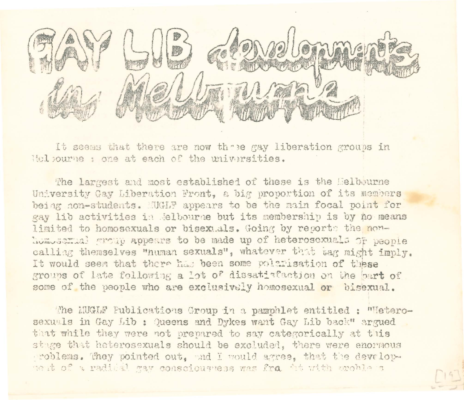

It seems that there are now these gay liberation groups in Helpourne : one at each of the universities.

The largest and most established of these is the Melbourne University Gay Liberation Front. a big proportion of its members being non-students. MGLF appears to be the main focal point for gay lib activities in Jelbourne but its membership is by no means limited to homosexuals or bisexuals. Going by reports the nonhomosemual group appears to be made up of heterosexuals of people calling themselves "numan sexuals", whatever that tag might imply. It would seem that there has been some polarisation of these groups of late following a lot of dissatiafaction on the bart of some of the people who are exclusively homosexual or bisexual.

The MUGLF Publications Group in a pamphlet entitled : "Heterosexuals in Gay Lib : Queens and Dykes want Gay Lib back" argued that while they were not prepared to say categorically at this stage that haterosexuals should be excluded, there were enormous roblems. They pointed out, and I would agree, that the developne t of a radical gav consciousness was fra the with oroble s